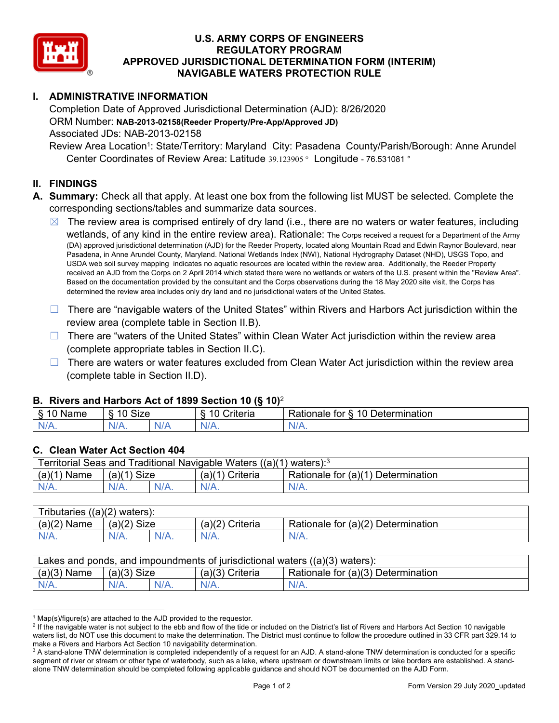

## **U.S. ARMY CORPS OF ENGINEERS REGULATORY PROGRAM APPROVED JURISDICTIONAL DETERMINATION FORM (INTERIM) NAVIGABLE WATERS PROTECTION RULE**

# **I. ADMINISTRATIVE INFORMATION**

Completion Date of Approved Jurisdictional Determination (AJD): 8/26/2020 ORM Number: **NAB-2013-02158(Reeder Property/Pre-App/Approved JD)** Associated JDs: NAB-2013-02158

Review Area Location<sup>1</sup>: State/Territory: Maryland City: Pasadena County/Parish/Borough: Anne Arundel Center Coordinates of Review Area: Latitude 39.123905 ° Longitude - 76.531081 °

### **II. FINDINGS**

- **A. Summary:** Check all that apply. At least one box from the following list MUST be selected. Complete the corresponding sections/tables and summarize data sources.
	- $\boxtimes$  The review area is comprised entirely of dry land (i.e., there are no waters or water features, including wetlands, of any kind in the entire review area). Rationale: The Corps received a request for a Department of the Army (DA) approved jurisdictional determination (AJD) for the Reeder Property, located along Mountain Road and Edwin Raynor Boulevard, near Pasadena, in Anne Arundel County, Maryland. National Wetlands Index (NWI), National Hydrography Dataset (NHD), USGS Topo, and USDA web soil survey mapping indicates no aquatic resources are located within the review area. Additionally, the Reeder Property received an AJD from the Corps on 2 April 2014 which stated there were no wetlands or waters of the U.S. present within the "Review Area". Based on the documentation provided by the consultant and the Corps observations during the 18 May 2020 site visit, the Corps has determined the review area includes only dry land and no jurisdictional waters of the United States.
	- $\Box$  There are "navigable waters of the United States" within Rivers and Harbors Act jurisdiction within the review area (complete table in Section II.B).
	- □ There are "waters of the United States" within Clean Water Act jurisdiction within the review area (complete appropriate tables in Section II.C).
	- $\Box$  There are waters or water features excluded from Clean Water Act jurisdiction within the review area (complete table in Section II.D).

## **B. Rivers and Harbors Act of 1899 Section 10 (§ 10)**<sup>2</sup>

| Name             | ີ $C$ i $7a$<br>-<br>ા∠∈ |     | $\cdot$ $\cdot$<br><u>.</u><br>. A <i>r</i><br>Criteria | -<br>-<br>$\overline{A}$ $\overline{C}$<br>Determination<br>tor<br>≺atıonale<br>Н. |
|------------------|--------------------------|-----|---------------------------------------------------------|------------------------------------------------------------------------------------|
| $N$ /<br>1.977.4 | $1/\Lambda$<br>$N\prime$ | N/A | NL.                                                     | N/A.                                                                               |

#### **C. Clean Water Act Section 404**

| Territorial Seas and Traditional Navigable Waters $((a)(1)$ waters): <sup>3</sup> |               |         |                    |                                    |
|-----------------------------------------------------------------------------------|---------------|---------|--------------------|------------------------------------|
| (a)(1)<br>Mame                                                                    | $(a)(1)$ Size |         | (a)(1)<br>Criteria | Rationale for (a)(1) Determination |
| $N/A$ .                                                                           | $N/A$ .       | $N/A$ . | $N/A$ .            | $N/A$ .                            |

| Tributaries $((a)(2)$ waters): |               |         |                   |                                    |  |
|--------------------------------|---------------|---------|-------------------|------------------------------------|--|
| $(a)(2)$ Name                  | $(a)(2)$ Size |         | $(a)(2)$ Criteria | Rationale for (a)(2) Determination |  |
| $N/A$ .                        |               | $N/A$ . |                   | N/A.                               |  |

| Lakes and ponds, and impoundments of jurisdictional waters ((a)(3) waters): |               |  |                 |                                    |  |
|-----------------------------------------------------------------------------|---------------|--|-----------------|------------------------------------|--|
| $(a)(3)$ Name                                                               | $(a)(3)$ Size |  | (a)(3) Criteria | Rationale for (a)(3) Determination |  |
|                                                                             | $N/A$ .       |  | $N/A$ .         | $N/A$ .                            |  |

 $1$  Map(s)/figure(s) are attached to the AJD provided to the requestor.

 $^2$  If the navigable water is not subject to the ebb and flow of the tide or included on the District's list of Rivers and Harbors Act Section 10 navigable waters list, do NOT use this document to make the determination. The District must continue to follow the procedure outlined in 33 CFR part 329.14 to make a Rivers and Harbors Act Section 10 navigability determination.

 $^3$  A stand-alone TNW determination is completed independently of a request for an AJD. A stand-alone TNW determination is conducted for a specific segment of river or stream or other type of waterbody, such as a lake, where upstream or downstream limits or lake borders are established. A standalone TNW determination should be completed following applicable guidance and should NOT be documented on the AJD Form.